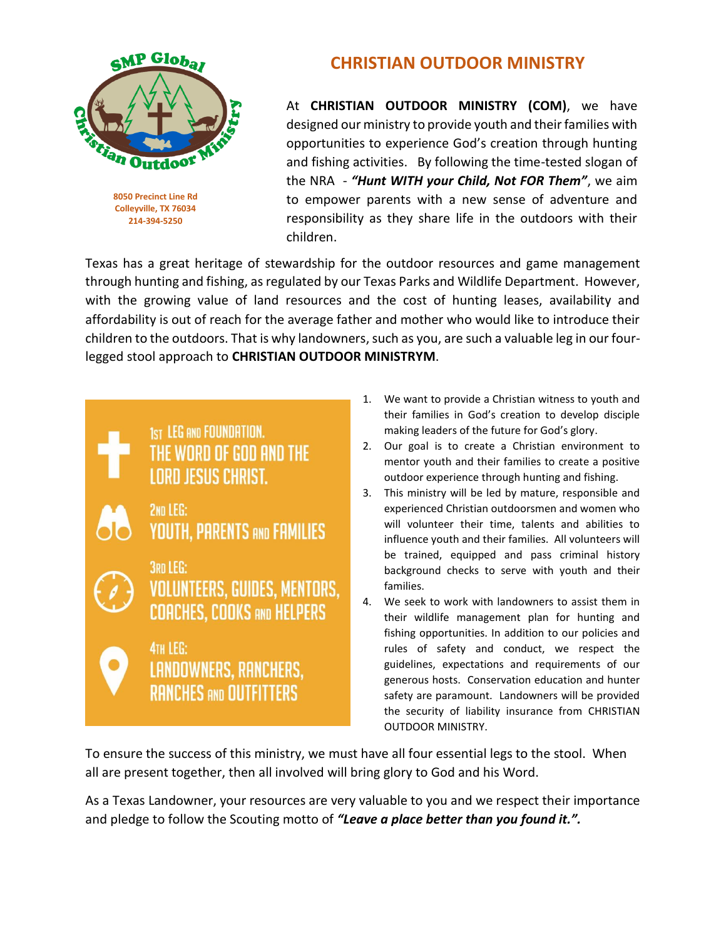

**8050 Precinct Line Rd Colleyville, TX 76034 214-394-5250**

## **CHRISTIAN OUTDOOR MINISTRY**

At **CHRISTIAN OUTDOOR MINISTRY (COM)**, we have designed our ministry to provide youth and their families with opportunities to experience God's creation through hunting and fishing activities. By following the time-tested slogan of the NRA - *"Hunt WITH your Child, Not FOR Them"*, we aim to empower parents with a new sense of adventure and responsibility as they share life in the outdoors with their children.

Texas has a great heritage of stewardship for the outdoor resources and game management through hunting and fishing, as regulated by our Texas Parks and Wildlife Department. However, with the growing value of land resources and the cost of hunting leases, availability and affordability is out of reach for the average father and mother who would like to introduce their children to the outdoors. That is why landowners, such as you, are such a valuable leg in our fourlegged stool approach to **CHRISTIAN OUTDOOR MINISTRYM**.



- 1. We want to provide a Christian witness to youth and their families in God's creation to develop disciple making leaders of the future for God's glory.
- 2. Our goal is to create a Christian environment to mentor youth and their families to create a positive outdoor experience through hunting and fishing.
- 3. This ministry will be led by mature, responsible and experienced Christian outdoorsmen and women who will volunteer their time, talents and abilities to influence youth and their families. All volunteers will be trained, equipped and pass criminal history background checks to serve with youth and their families.
- 4. We seek to work with landowners to assist them in their wildlife management plan for hunting and fishing opportunities. In addition to our policies and rules of safety and conduct, we respect the guidelines, expectations and requirements of our generous hosts. Conservation education and hunter safety are paramount. Landowners will be provided the security of liability insurance from CHRISTIAN OUTDOOR MINISTRY.

To ensure the success of this ministry, we must have all four essential legs to the stool. When all are present together, then all involved will bring glory to God and his Word.

As a Texas Landowner, your resources are very valuable to you and we respect their importance and pledge to follow the Scouting motto of *"Leave a place better than you found it.".*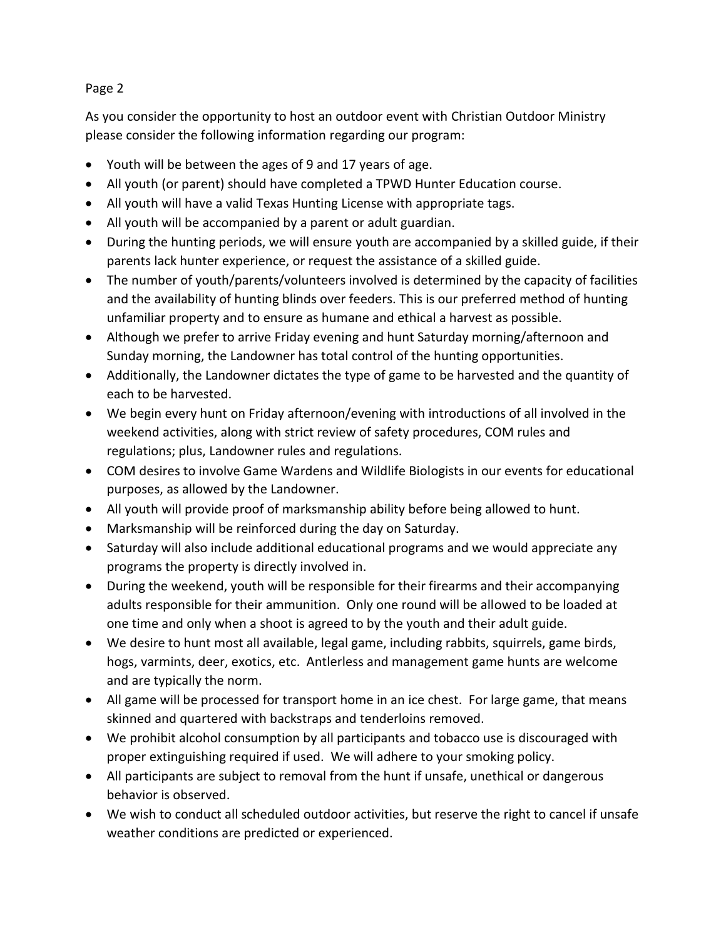## Page 2

As you consider the opportunity to host an outdoor event with Christian Outdoor Ministry please consider the following information regarding our program:

- Youth will be between the ages of 9 and 17 years of age.
- All youth (or parent) should have completed a TPWD Hunter Education course.
- All youth will have a valid Texas Hunting License with appropriate tags.
- All youth will be accompanied by a parent or adult guardian.
- During the hunting periods, we will ensure youth are accompanied by a skilled guide, if their parents lack hunter experience, or request the assistance of a skilled guide.
- The number of youth/parents/volunteers involved is determined by the capacity of facilities and the availability of hunting blinds over feeders. This is our preferred method of hunting unfamiliar property and to ensure as humane and ethical a harvest as possible.
- Although we prefer to arrive Friday evening and hunt Saturday morning/afternoon and Sunday morning, the Landowner has total control of the hunting opportunities.
- Additionally, the Landowner dictates the type of game to be harvested and the quantity of each to be harvested.
- We begin every hunt on Friday afternoon/evening with introductions of all involved in the weekend activities, along with strict review of safety procedures, COM rules and regulations; plus, Landowner rules and regulations.
- COM desires to involve Game Wardens and Wildlife Biologists in our events for educational purposes, as allowed by the Landowner.
- All youth will provide proof of marksmanship ability before being allowed to hunt.
- Marksmanship will be reinforced during the day on Saturday.
- Saturday will also include additional educational programs and we would appreciate any programs the property is directly involved in.
- During the weekend, youth will be responsible for their firearms and their accompanying adults responsible for their ammunition. Only one round will be allowed to be loaded at one time and only when a shoot is agreed to by the youth and their adult guide.
- We desire to hunt most all available, legal game, including rabbits, squirrels, game birds, hogs, varmints, deer, exotics, etc. Antlerless and management game hunts are welcome and are typically the norm.
- All game will be processed for transport home in an ice chest. For large game, that means skinned and quartered with backstraps and tenderloins removed.
- We prohibit alcohol consumption by all participants and tobacco use is discouraged with proper extinguishing required if used. We will adhere to your smoking policy.
- All participants are subject to removal from the hunt if unsafe, unethical or dangerous behavior is observed.
- We wish to conduct all scheduled outdoor activities, but reserve the right to cancel if unsafe weather conditions are predicted or experienced.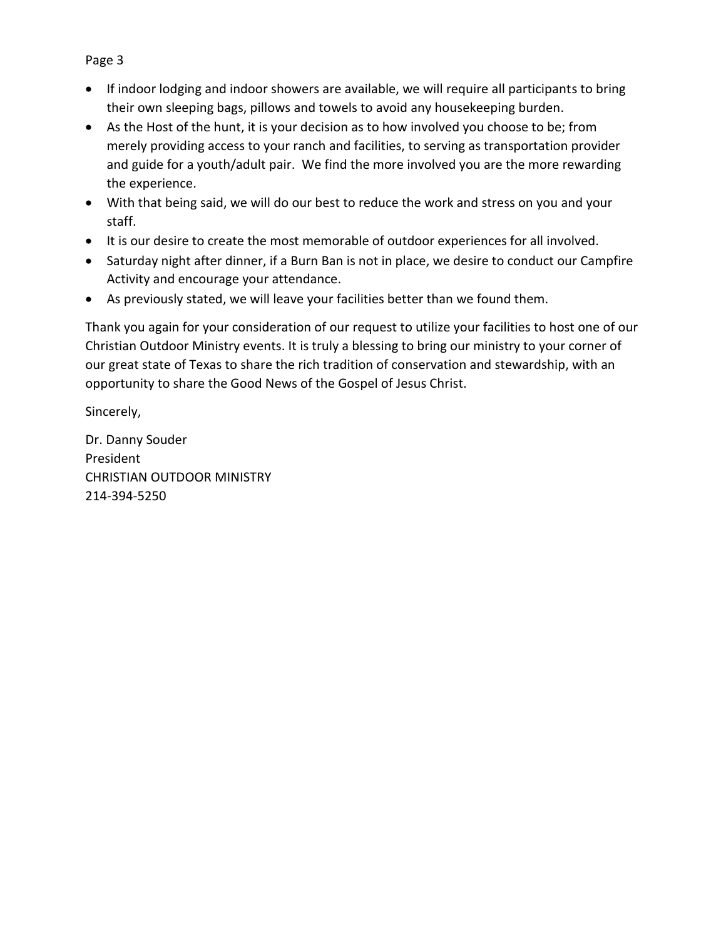- If indoor lodging and indoor showers are available, we will require all participants to bring their own sleeping bags, pillows and towels to avoid any housekeeping burden.
- As the Host of the hunt, it is your decision as to how involved you choose to be; from merely providing access to your ranch and facilities, to serving as transportation provider and guide for a youth/adult pair. We find the more involved you are the more rewarding the experience.
- With that being said, we will do our best to reduce the work and stress on you and your staff.
- It is our desire to create the most memorable of outdoor experiences for all involved.
- Saturday night after dinner, if a Burn Ban is not in place, we desire to conduct our Campfire Activity and encourage your attendance.
- As previously stated, we will leave your facilities better than we found them.

Thank you again for your consideration of our request to utilize your facilities to host one of our Christian Outdoor Ministry events. It is truly a blessing to bring our ministry to your corner of our great state of Texas to share the rich tradition of conservation and stewardship, with an opportunity to share the Good News of the Gospel of Jesus Christ.

Sincerely,

Dr. Danny Souder President CHRISTIAN OUTDOOR MINISTRY 214-394-5250

## Page 3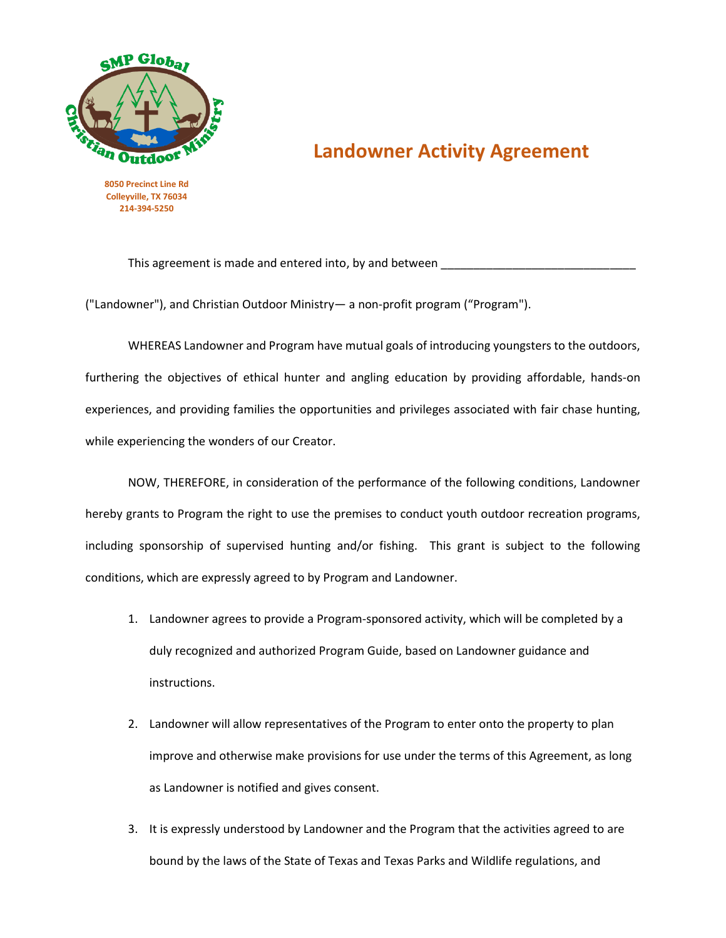

## **Landowner Activity Agreement**

**8050 Precinct Line Rd Colleyville, TX 76034 214-394-5250**

This agreement is made and entered into, by and between

("Landowner"), and Christian Outdoor Ministry— a non-profit program ("Program").

WHEREAS Landowner and Program have mutual goals of introducing youngsters to the outdoors, furthering the objectives of ethical hunter and angling education by providing affordable, hands-on experiences, and providing families the opportunities and privileges associated with fair chase hunting, while experiencing the wonders of our Creator.

NOW, THEREFORE, in consideration of the performance of the following conditions, Landowner hereby grants to Program the right to use the premises to conduct youth outdoor recreation programs, including sponsorship of supervised hunting and/or fishing. This grant is subject to the following conditions, which are expressly agreed to by Program and Landowner.

- 1. Landowner agrees to provide a Program-sponsored activity, which will be completed by a duly recognized and authorized Program Guide, based on Landowner guidance and instructions.
- 2. Landowner will allow representatives of the Program to enter onto the property to plan improve and otherwise make provisions for use under the terms of this Agreement, as long as Landowner is notified and gives consent.
- 3. It is expressly understood by Landowner and the Program that the activities agreed to are bound by the laws of the State of Texas and Texas Parks and Wildlife regulations, and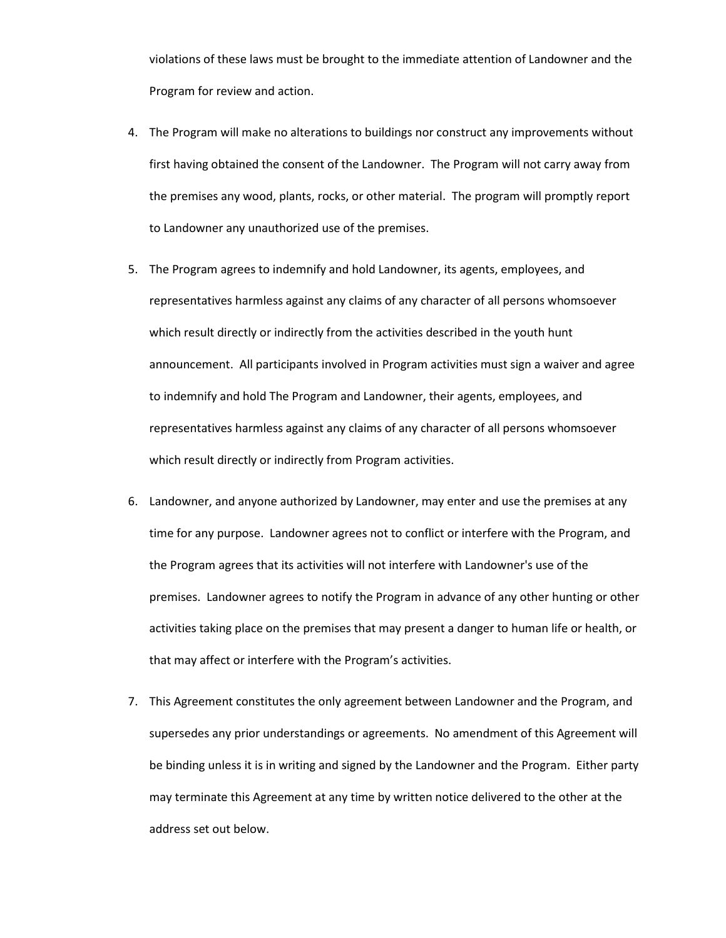violations of these laws must be brought to the immediate attention of Landowner and the Program for review and action.

- 4. The Program will make no alterations to buildings nor construct any improvements without first having obtained the consent of the Landowner. The Program will not carry away from the premises any wood, plants, rocks, or other material. The program will promptly report to Landowner any unauthorized use of the premises.
- 5. The Program agrees to indemnify and hold Landowner, its agents, employees, and representatives harmless against any claims of any character of all persons whomsoever which result directly or indirectly from the activities described in the youth hunt announcement. All participants involved in Program activities must sign a waiver and agree to indemnify and hold The Program and Landowner, their agents, employees, and representatives harmless against any claims of any character of all persons whomsoever which result directly or indirectly from Program activities.
- 6. Landowner, and anyone authorized by Landowner, may enter and use the premises at any time for any purpose. Landowner agrees not to conflict or interfere with the Program, and the Program agrees that its activities will not interfere with Landowner's use of the premises. Landowner agrees to notify the Program in advance of any other hunting or other activities taking place on the premises that may present a danger to human life or health, or that may affect or interfere with the Program's activities.
- 7. This Agreement constitutes the only agreement between Landowner and the Program, and supersedes any prior understandings or agreements. No amendment of this Agreement will be binding unless it is in writing and signed by the Landowner and the Program. Either party may terminate this Agreement at any time by written notice delivered to the other at the address set out below.